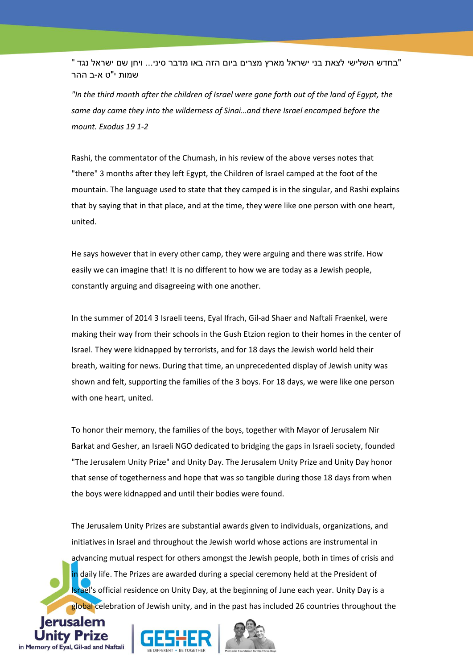"בחדש השלישי לצאת בני ישראל מארץ מצרים ביום הזה באו מדבר סיני... ויחן שם ישראל נגד " שמות י"ט א-ב ההר

*"In the third month after the children of Israel were gone forth out of the land of Egypt, the same day came they into the wilderness of Sinai…and there Israel encamped before the mount. Exodus 19 1-2*

Rashi, the commentator of the Chumash, in his review of the above verses notes that "there" 3 months after they left Egypt, the Children of Israel camped at the foot of the mountain. The language used to state that they camped is in the singular, and Rashi explains that by saying that in that place, and at the time, they were like one person with one heart, united.

He says however that in every other camp, they were arguing and there was strife. How easily we can imagine that! It is no different to how we are today as a Jewish people, constantly arguing and disagreeing with one another.

In the summer of 2014 3 Israeli teens, Eyal Ifrach, Gil-ad Shaer and Naftali Fraenkel, were making their way from their schools in the Gush Etzion region to their homes in the center of Israel. They were kidnapped by terrorists, and for 18 days the Jewish world held their breath, waiting for news. During that time, an unprecedented display of Jewish unity was shown and felt, supporting the families of the 3 boys. For 18 days, we were like one person with one heart, united.

To honor their memory, the families of the boys, together with Mayor of Jerusalem Nir Barkat and Gesher, an Israeli NGO dedicated to bridging the gaps in Israeli society, founded "The Jerusalem Unity Prize" and Unity Day. The Jerusalem Unity Prize and Unity Day honor that sense of togetherness and hope that was so tangible during those 18 days from when the boys were kidnapped and until their bodies were found.

The Jerusalem Unity Prizes are substantial awards given to individuals, organizations, and initiatives in Israel and throughout the Jewish world whose actions are instrumental in advancing mutual respect for others amongst the Jewish people, both in times of crisis and in daily life. The Prizes are awarded during a special ceremony held at the President of Israel's official residence on Unity Day, at the beginning of June each year. Unity Day is a global celebration of Jewish unity, and in the past has included 26 countries throughout the